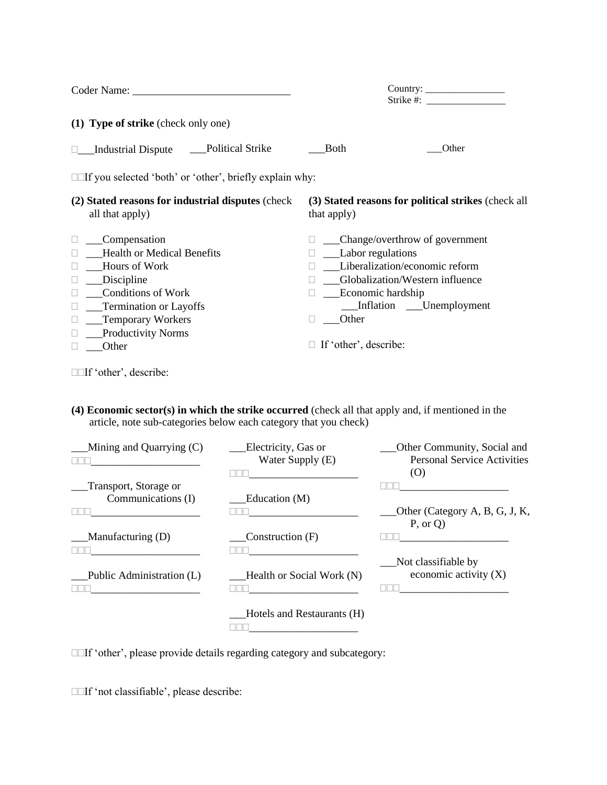| Coder Name: Name:                                              | Strike #:                                           |  |  |  |  |  |  |
|----------------------------------------------------------------|-----------------------------------------------------|--|--|--|--|--|--|
| (1) Type of strike (check only one)                            |                                                     |  |  |  |  |  |  |
| <b>Political Strike</b>                                        | Both                                                |  |  |  |  |  |  |
| <b>Industrial Dispute</b>                                      | Other                                               |  |  |  |  |  |  |
| $\Box$ if you selected 'both' or 'other', briefly explain why: |                                                     |  |  |  |  |  |  |
| (2) Stated reasons for industrial disputes (check)             | (3) Stated reasons for political strikes (check all |  |  |  |  |  |  |
| all that apply)                                                | that apply)                                         |  |  |  |  |  |  |
| Compensation                                                   | Change/overthrow of government                      |  |  |  |  |  |  |
| <b>Health or Medical Benefits</b>                              | Labor regulations                                   |  |  |  |  |  |  |
| <b>Hours of Work</b>                                           | Liberalization/economic reform                      |  |  |  |  |  |  |
| Discipline                                                     | Globalization/Western influence                     |  |  |  |  |  |  |
| <b>Conditions of Work</b>                                      | Economic hardship                                   |  |  |  |  |  |  |
| __Termination or Layoffs                                       | Inflation ____Unemployment                          |  |  |  |  |  |  |
| Temporary Workers                                              | Other                                               |  |  |  |  |  |  |
| <b>Productivity Norms</b>                                      | If 'other', describe:                               |  |  |  |  |  |  |
| Other                                                          | $\Box$                                              |  |  |  |  |  |  |

If 'other', describe:

**(4) Economic sector(s) in which the strike occurred** (check all that apply and, if mentioned in the article, note sub-categories below each category that you check)

| Mining and Quarrying (C)  | Electricity, Gas or<br>Water Supply (E) | Other Community, Social and<br><b>Personal Service Activities</b><br>(O) |
|---------------------------|-----------------------------------------|--------------------------------------------------------------------------|
| Transport, Storage or     |                                         |                                                                          |
| Communications (I)        | Education (M)                           |                                                                          |
|                           |                                         | Other (Category A, B, G, J, K,<br>P, or Q                                |
| Manufacturing (D)         | Construction (F)                        |                                                                          |
|                           |                                         |                                                                          |
| Public Administration (L) | Health or Social Work (N)               | Not classifiable by<br>economic activity $(X)$                           |
|                           | Hotels and Restaurants (H)              |                                                                          |

If 'other', please provide details regarding category and subcategory:

If 'not classifiable', please describe: